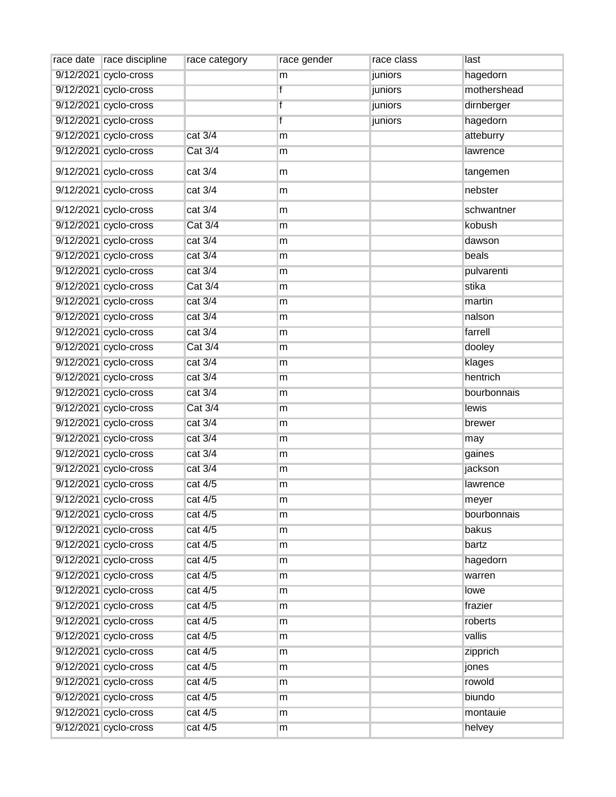| race date   race discipline | race category  | race gender | race class | last        |
|-----------------------------|----------------|-------------|------------|-------------|
| 9/12/2021 cyclo-cross       |                | m           | juniors    | hagedorn    |
| 9/12/2021 cyclo-cross       |                | f           | juniors    | mothershead |
| 9/12/2021 cyclo-cross       |                | f           | juniors    | dirnberger  |
| 9/12/2021 cyclo-cross       |                | f           | juniors    | hagedorn    |
| 9/12/2021 cyclo-cross       | cat 3/4        | m           |            | atteburry   |
| 9/12/2021 cyclo-cross       | <b>Cat 3/4</b> | m           |            | lawrence    |
| 9/12/2021 cyclo-cross       | cat 3/4        | m           |            | tangemen    |
| 9/12/2021 cyclo-cross       | cat 3/4        | m           |            | nebster     |
| 9/12/2021 cyclo-cross       | cat 3/4        | m           |            | schwantner  |
| 9/12/2021 cyclo-cross       | <b>Cat 3/4</b> | m           |            | kobush      |
| 9/12/2021 cyclo-cross       | cat 3/4        | m           |            | dawson      |
| 9/12/2021 cyclo-cross       | cat 3/4        | m           |            | beals       |
| 9/12/2021 cyclo-cross       | cat 3/4        | m           |            | pulvarenti  |
| 9/12/2021 cyclo-cross       | <b>Cat 3/4</b> | m           |            | stika       |
| 9/12/2021 cyclo-cross       | cat 3/4        | m           |            | martin      |
| 9/12/2021 cyclo-cross       | cat 3/4        | m           |            | nalson      |
| 9/12/2021 cyclo-cross       | cat 3/4        | m           |            | farrell     |
| 9/12/2021 cyclo-cross       | Cat 3/4        | m           |            | dooley      |
| 9/12/2021 cyclo-cross       | cat 3/4        | m           |            | klages      |
| 9/12/2021 cyclo-cross       | cat 3/4        | m           |            | hentrich    |
| 9/12/2021 cyclo-cross       | cat 3/4        | m           |            | bourbonnais |
| 9/12/2021 cyclo-cross       | Cat 3/4        | m           |            | lewis       |
| 9/12/2021 cyclo-cross       | cat 3/4        | m           |            | brewer      |
| 9/12/2021 cyclo-cross       | cat 3/4        | m           |            | may         |
| 9/12/2021 cyclo-cross       | cat 3/4        | m           |            | gaines      |
| 9/12/2021 cyclo-cross       | cat 3/4        | m           |            | jackson     |
| 9/12/2021 cyclo-cross       | cat 4/5        | m           |            | lawrence    |
| 9/12/2021 cyclo-cross       | cat 4/5        | m           |            | meyer       |
| 9/12/2021 cyclo-cross       | cat 4/5        | m           |            | bourbonnais |
| 9/12/2021 cyclo-cross       | cat 4/5        | m           |            | bakus       |
| 9/12/2021 cyclo-cross       | cat 4/5        | m           |            | bartz       |
| 9/12/2021 cyclo-cross       | cat 4/5        | m           |            | hagedorn    |
| 9/12/2021 cyclo-cross       | cat 4/5        | m           |            | warren      |
| 9/12/2021 cyclo-cross       | cat 4/5        | m           |            | lowe        |
| 9/12/2021 cyclo-cross       | cat 4/5        | m           |            | frazier     |
| 9/12/2021 cyclo-cross       | cat 4/5        | m           |            | roberts     |
| 9/12/2021 cyclo-cross       | cat 4/5        | m           |            | vallis      |
| 9/12/2021 cyclo-cross       | cat 4/5        | m           |            | zipprich    |
| 9/12/2021 cyclo-cross       | cat 4/5        | m           |            | jones       |
| 9/12/2021 cyclo-cross       | cat 4/5        | m           |            | rowold      |
| 9/12/2021 cyclo-cross       | cat 4/5        | m           |            | biundo      |
| 9/12/2021 cyclo-cross       | cat 4/5        | m           |            | montauie    |
| 9/12/2021 cyclo-cross       | cat 4/5        | m           |            | helvey      |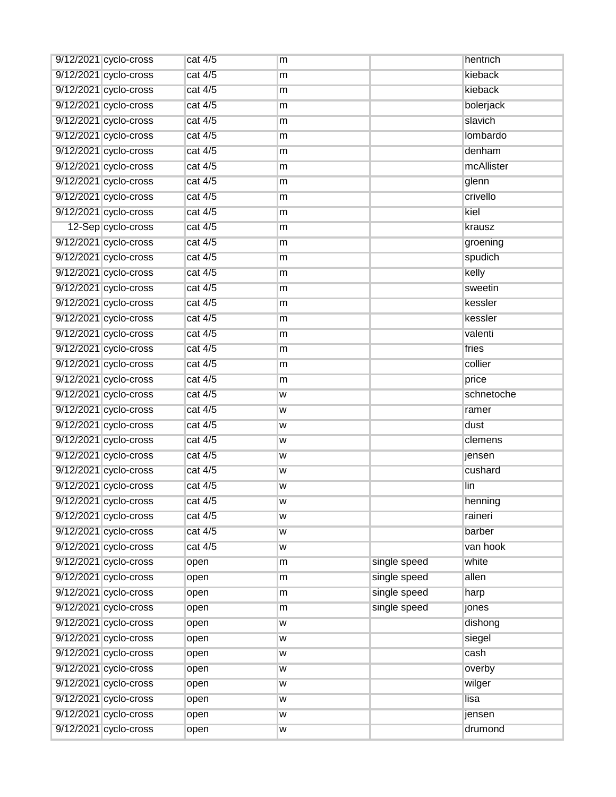| 9/12/2021 cyclo-cross | cat 4/5 | m |              | hentrich   |
|-----------------------|---------|---|--------------|------------|
| 9/12/2021 cyclo-cross | cat 4/5 | m |              | kieback    |
| 9/12/2021 cyclo-cross | cat 4/5 | m |              | kieback    |
| 9/12/2021 cyclo-cross | cat 4/5 | m |              | bolerjack  |
| 9/12/2021 cyclo-cross | cat 4/5 | m |              | slavich    |
| 9/12/2021 cyclo-cross | cat 4/5 | m |              | lombardo   |
| 9/12/2021 cyclo-cross | cat 4/5 | m |              | denham     |
| 9/12/2021 cyclo-cross | cat 4/5 | m |              | mcAllister |
| 9/12/2021 cyclo-cross | cat 4/5 | m |              | glenn      |
| 9/12/2021 cyclo-cross | cat 4/5 | m |              | crivello   |
| 9/12/2021 cyclo-cross | cat 4/5 | m |              | kiel       |
| 12-Sep cyclo-cross    | cat 4/5 | m |              | krausz     |
| 9/12/2021 cyclo-cross | cat 4/5 | m |              | groening   |
| 9/12/2021 cyclo-cross | cat 4/5 | m |              | spudich    |
| 9/12/2021 cyclo-cross | cat 4/5 | m |              | kelly      |
| 9/12/2021 cyclo-cross | cat 4/5 | m |              | sweetin    |
| 9/12/2021 cyclo-cross | cat 4/5 | m |              | kessler    |
| 9/12/2021 cyclo-cross | cat 4/5 | m |              | kessler    |
| 9/12/2021 cyclo-cross | cat 4/5 | m |              | valenti    |
| 9/12/2021 cyclo-cross | cat 4/5 | m |              | fries      |
| 9/12/2021 cyclo-cross | cat 4/5 | m |              | collier    |
| 9/12/2021 cyclo-cross | cat 4/5 | m |              | price      |
| 9/12/2021 cyclo-cross | cat 4/5 | W |              | schnetoche |
| 9/12/2021 cyclo-cross | cat 4/5 | w |              | ramer      |
| 9/12/2021 cyclo-cross | cat 4/5 | W |              | dust       |
| 9/12/2021 cyclo-cross | cat 4/5 | W |              | clemens    |
| 9/12/2021 cyclo-cross | cat 4/5 | W |              | jensen     |
| 9/12/2021 cyclo-cross | cat 4/5 | W |              | cushard    |
| 9/12/2021 cyclo-cross | cat 4/5 | W |              | lin        |
| 9/12/2021 cyclo-cross | cat 4/5 | W |              | henning    |
| 9/12/2021 cyclo-cross | cat 4/5 | W |              | raineri    |
| 9/12/2021 cyclo-cross | cat 4/5 | W |              | barber     |
| 9/12/2021 cyclo-cross | cat 4/5 | w |              | van hook   |
| 9/12/2021 cyclo-cross | open    | m | single speed | white      |
| 9/12/2021 cyclo-cross | open    | m | single speed | allen      |
| 9/12/2021 cyclo-cross | open    | m | single speed | harp       |
| 9/12/2021 cyclo-cross | open    | m | single speed | jones      |
| 9/12/2021 cyclo-cross | open    | W |              | dishong    |
| 9/12/2021 cyclo-cross | open    | W |              | siegel     |
| 9/12/2021 cyclo-cross | open    | w |              | cash       |
| 9/12/2021 cyclo-cross | open    | w |              | overby     |
| 9/12/2021 cyclo-cross | open    | w |              | wilger     |
| 9/12/2021 cyclo-cross | open    | W |              | lisa       |
| 9/12/2021 cyclo-cross | open    | w |              | jensen     |
| 9/12/2021 cyclo-cross | open    | W |              | drumond    |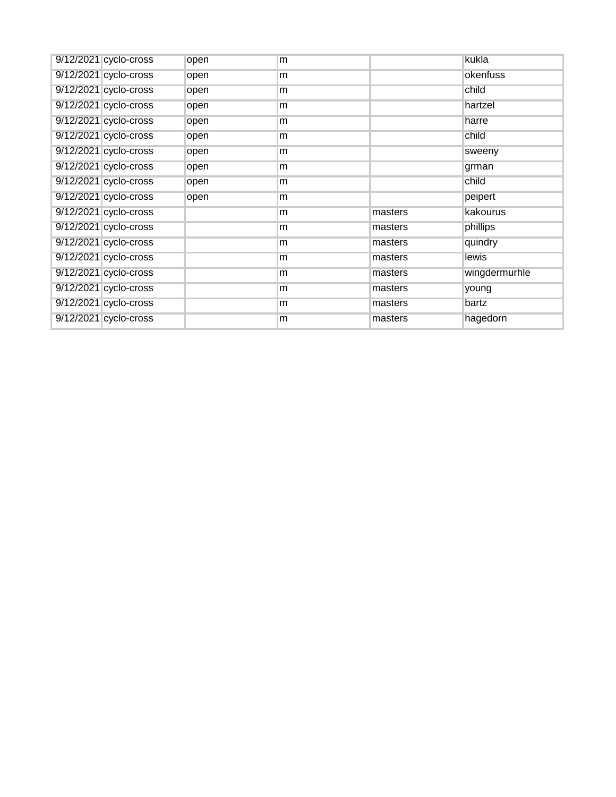| 9/12/2021 cyclo-cross | open | m |         | kukla         |
|-----------------------|------|---|---------|---------------|
| 9/12/2021 cyclo-cross | open | m |         | okenfuss      |
| 9/12/2021 cyclo-cross | open | m |         | child         |
| 9/12/2021 cyclo-cross | open | m |         | hartzel       |
| 9/12/2021 cyclo-cross | open | m |         | harre         |
| 9/12/2021 cyclo-cross | open | m |         | child         |
| 9/12/2021 cyclo-cross | open | m |         | sweeny        |
| 9/12/2021 cyclo-cross | open | m |         | grman         |
| 9/12/2021 cyclo-cross | open | m |         | child         |
| 9/12/2021 cyclo-cross | open | m |         | peipert       |
| 9/12/2021 cyclo-cross |      | m | masters | kakourus      |
| 9/12/2021 cyclo-cross |      | m | masters | phillips      |
| 9/12/2021 cyclo-cross |      | m | masters | quindry       |
| 9/12/2021 cyclo-cross |      | m | masters | lewis         |
| 9/12/2021 cyclo-cross |      | m | masters | wingdermurhle |
| 9/12/2021 cyclo-cross |      | m | masters | young         |
| 9/12/2021 cyclo-cross |      | m | masters | bartz         |
| 9/12/2021 cyclo-cross |      | m | masters | hagedorn      |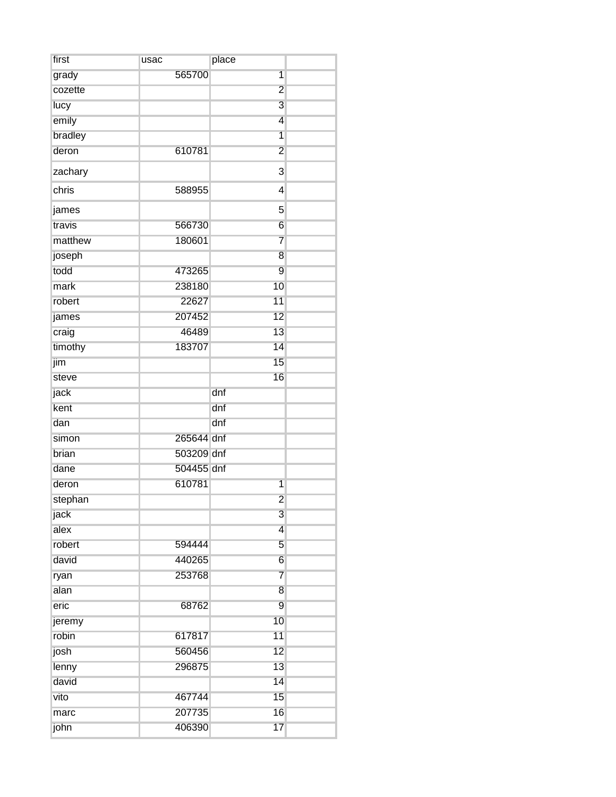| first   | usac       | place                   |  |
|---------|------------|-------------------------|--|
| grady   | 565700     | $\overline{1}$          |  |
| cozette |            | $\overline{c}$          |  |
| lucy    |            | 3                       |  |
| emily   |            | $\overline{4}$          |  |
| bradley |            | $\overline{1}$          |  |
| deron   | 610781     | $\overline{2}$          |  |
| zachary |            | 3                       |  |
| chris   | 588955     | 4                       |  |
| james   |            | 5                       |  |
| travis  | 566730     | 6                       |  |
| matthew | 180601     | 7                       |  |
| joseph  |            | 8                       |  |
| todd    | 473265     | 9                       |  |
| mark    | 238180     | 10                      |  |
| robert  | 22627      | 11                      |  |
| james   | 207452     | 12                      |  |
| craig   | 46489      | 13                      |  |
| timothy | 183707     | 14                      |  |
| jim     |            | 15                      |  |
| steve   |            | 16                      |  |
| jack    |            | dnf                     |  |
| kent    |            | dnf                     |  |
| dan     |            | dnf                     |  |
| simon   | 265644 dnf |                         |  |
| brian   | 503209 dnf |                         |  |
| dane    | 504455 dnf |                         |  |
| deron   | 610781     | $\overline{1}$          |  |
| stephan |            | $\overline{2}$          |  |
| jack    |            | 3                       |  |
| alex    |            | $\overline{\mathbf{4}}$ |  |
| robert  | 594444     | 5                       |  |
| david   | 440265     | $\overline{6}$          |  |
| ryan    | 253768     | $\overline{7}$          |  |
| alan    |            | 8                       |  |
| eric    | 68762      | 9                       |  |
| jeremy  |            | 10                      |  |
| robin   | 617817     | 11                      |  |
| josh    | 560456     | 12                      |  |
| lenny   | 296875     | 13                      |  |
| david   |            | 14                      |  |
| vito    | 467744     | 15                      |  |
| marc    | 207735     | 16                      |  |
| john    | 406390     | 17                      |  |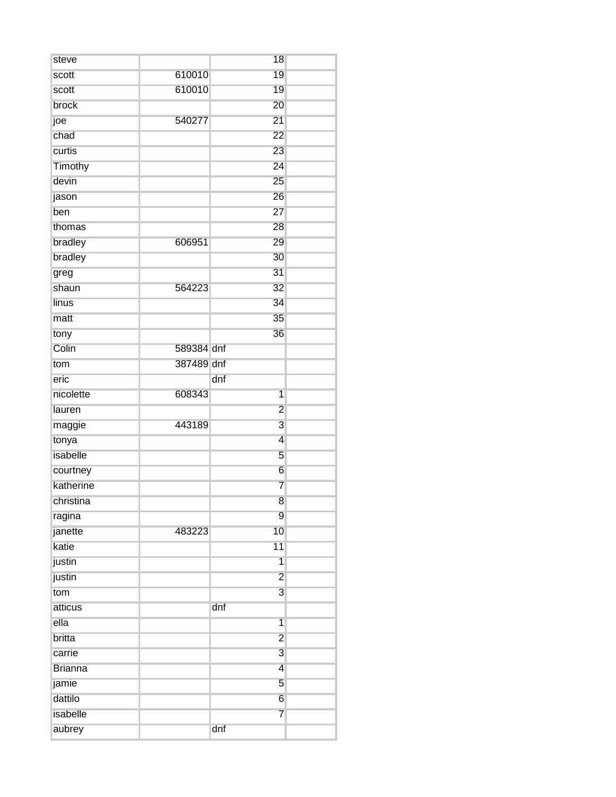| steve          |            | 18                      |  |
|----------------|------------|-------------------------|--|
| scott          | 610010     | 19                      |  |
| scott          | 610010     | 19                      |  |
| brock          |            | 20                      |  |
| joe            | 540277     | 21                      |  |
| chad           |            | 22                      |  |
| curtis         |            | 23                      |  |
| Timothy        |            | 24                      |  |
| devin          |            | 25                      |  |
| jason          |            | 26                      |  |
| ben            |            | 27                      |  |
| thomas         |            | 28                      |  |
| bradley        | 606951     | 29                      |  |
| bradley        |            | 30                      |  |
| greg           |            | 31                      |  |
| shaun          | 564223     | 32                      |  |
| linus          |            | 34                      |  |
| matt           |            | 35                      |  |
| tony           |            | 36                      |  |
| Colin          | 589384 dnf |                         |  |
| tom            | 387489 dnf |                         |  |
| eric           |            | dnf                     |  |
| nicolette      | 608343     | $\overline{1}$          |  |
| lauren         |            | $\overline{2}$          |  |
| maggie         | 443189     | 3                       |  |
| tonya          |            | $\overline{4}$          |  |
| isabelle       |            | $\overline{5}$          |  |
| courtney       |            | $\,$ 6 $\,$             |  |
| katherine      |            | 7                       |  |
| christina      |            | $\overline{8}$          |  |
| ragina         |            | $\overline{9}$          |  |
| janette        | 483223     | 10                      |  |
| katie          |            | 11                      |  |
| justin         |            | $\overline{1}$          |  |
| justin         |            | $\overline{2}$          |  |
| tom            |            | $\overline{3}$          |  |
| atticus        |            | dnf                     |  |
| ella           |            | $\overline{1}$          |  |
| britta         |            | $\overline{2}$          |  |
| carrie         |            | $\overline{3}$          |  |
| <b>Brianna</b> |            | $\overline{\mathbf{4}}$ |  |
| jamie          |            | $\overline{5}$          |  |
| dattilo        |            | $6\overline{6}$         |  |
| isabelle       |            | $\overline{7}$          |  |
| aubrey         |            | dnf                     |  |
|                |            |                         |  |